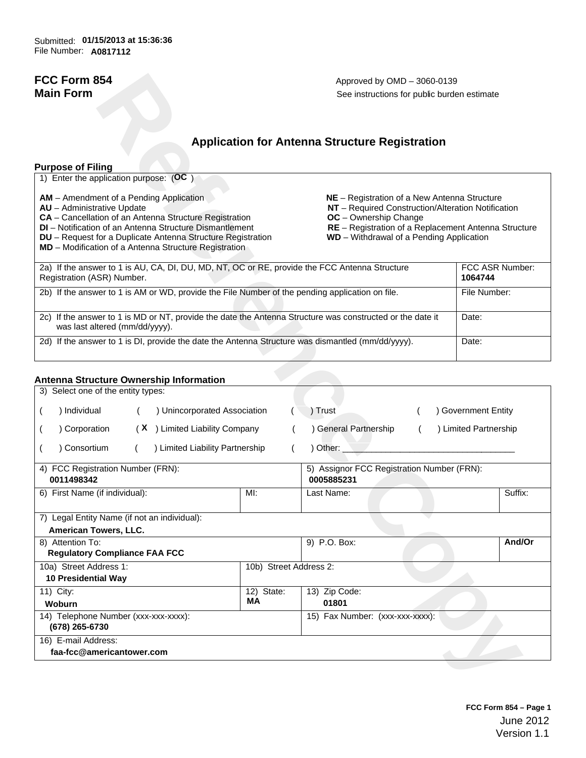# **Application for Antenna Structure Registration**

## **Purpose of Filing**

| 1) Enter the application purpose: (OC)                                                                                                                                                                                                                                                                                                                                                                                                                                                                                                                                                          |                            |  |  |
|-------------------------------------------------------------------------------------------------------------------------------------------------------------------------------------------------------------------------------------------------------------------------------------------------------------------------------------------------------------------------------------------------------------------------------------------------------------------------------------------------------------------------------------------------------------------------------------------------|----------------------------|--|--|
| <b>AM</b> – Amendment of a Pending Application<br>NE - Registration of a New Antenna Structure<br>NT - Required Construction/Alteration Notification<br><b>AU</b> - Administrative Update<br><b>CA</b> – Cancellation of an Antenna Structure Registration<br><b>OC</b> - Ownership Change<br><b>DI</b> – Notification of an Antenna Structure Dismantlement<br>RE - Registration of a Replacement Antenna Structure<br>WD - Withdrawal of a Pending Application<br><b>DU</b> – Request for a Duplicate Antenna Structure Registration<br>MD - Modification of a Antenna Structure Registration |                            |  |  |
| 2a) If the answer to 1 is AU, CA, DI, DU, MD, NT, OC or RE, provide the FCC Antenna Structure<br>Registration (ASR) Number.                                                                                                                                                                                                                                                                                                                                                                                                                                                                     | FCC ASR Number:<br>1064744 |  |  |
| 2b) If the answer to 1 is AM or WD, provide the File Number of the pending application on file.                                                                                                                                                                                                                                                                                                                                                                                                                                                                                                 | File Number:               |  |  |
| 2c) If the answer to 1 is MD or NT, provide the date the Antenna Structure was constructed or the date it<br>was last altered (mm/dd/yyyy).                                                                                                                                                                                                                                                                                                                                                                                                                                                     | Date:                      |  |  |
| 2d) If the answer to 1 is DI, provide the date the Antenna Structure was dismantled (mm/dd/yyyy).                                                                                                                                                                                                                                                                                                                                                                                                                                                                                               | Date:                      |  |  |

## **Antenna Structure Ownership Information**

| FCC Form 854<br><b>Main Form</b>                                                                                                                                                                                                                                                                                   | Approved by OMD - 3060-0139<br>See instructions for public burden estimate |                                                                                                                                                                                                                                        |                            |  |
|--------------------------------------------------------------------------------------------------------------------------------------------------------------------------------------------------------------------------------------------------------------------------------------------------------------------|----------------------------------------------------------------------------|----------------------------------------------------------------------------------------------------------------------------------------------------------------------------------------------------------------------------------------|----------------------------|--|
|                                                                                                                                                                                                                                                                                                                    |                                                                            | <b>Application for Antenna Structure Registration</b>                                                                                                                                                                                  |                            |  |
| <b>Purpose of Filing</b>                                                                                                                                                                                                                                                                                           |                                                                            |                                                                                                                                                                                                                                        |                            |  |
| 1) Enter the application purpose: (OC)                                                                                                                                                                                                                                                                             |                                                                            |                                                                                                                                                                                                                                        |                            |  |
| AM - Amendment of a Pending Application<br>AU - Administrative Update<br>CA - Cancellation of an Antenna Structure Registration<br>DI - Notification of an Antenna Structure Dismantlement<br>DU - Request for a Duplicate Antenna Structure Registration<br>MD - Modification of a Antenna Structure Registration |                                                                            | NE - Registration of a New Antenna Structure<br>NT - Required Construction/Alteration Notification<br><b>OC</b> - Ownership Change<br>RE - Registration of a Replacement Antenna Structure<br>WD - Withdrawal of a Pending Application |                            |  |
| 2a) If the answer to 1 is AU, CA, DI, DU, MD, NT, OC or RE, provide the FCC Antenna Structure<br>Registration (ASR) Number.                                                                                                                                                                                        |                                                                            |                                                                                                                                                                                                                                        | FCC ASR Number:<br>1064744 |  |
| 2b) If the answer to 1 is AM or WD, provide the File Number of the pending application on file.                                                                                                                                                                                                                    |                                                                            |                                                                                                                                                                                                                                        | File Number:               |  |
| 2c) If the answer to 1 is MD or NT, provide the date the Antenna Structure was constructed or the date it<br>was last altered (mm/dd/yyyy).                                                                                                                                                                        |                                                                            |                                                                                                                                                                                                                                        | Date:                      |  |
| 2d) If the answer to 1 is DI, provide the date the Antenna Structure was dismantled (mm/dd/yyyy).                                                                                                                                                                                                                  |                                                                            |                                                                                                                                                                                                                                        | Date:                      |  |
| <b>Antenna Structure Ownership Information</b>                                                                                                                                                                                                                                                                     |                                                                            |                                                                                                                                                                                                                                        |                            |  |
| 3) Select one of the entity types:                                                                                                                                                                                                                                                                                 |                                                                            |                                                                                                                                                                                                                                        |                            |  |
| ) Unincorporated Association<br>) Individual                                                                                                                                                                                                                                                                       |                                                                            | ) Trust                                                                                                                                                                                                                                | ) Government Entity        |  |
| ) Corporation<br>(X ) Limited Liability Company                                                                                                                                                                                                                                                                    |                                                                            | ) General Partnership                                                                                                                                                                                                                  | ) Limited Partnership      |  |
| ) Limited Liability Partnership<br>) Consortium                                                                                                                                                                                                                                                                    |                                                                            | ) Other:                                                                                                                                                                                                                               |                            |  |
| 4) FCC Registration Number (FRN):<br>0011498342                                                                                                                                                                                                                                                                    |                                                                            | 5) Assignor FCC Registration Number (FRN):<br>0005885231                                                                                                                                                                               |                            |  |
| 6) First Name (if individual):                                                                                                                                                                                                                                                                                     | MI:                                                                        | Last Name:                                                                                                                                                                                                                             | Suffix:                    |  |
| 7) Legal Entity Name (if not an individual):                                                                                                                                                                                                                                                                       |                                                                            |                                                                                                                                                                                                                                        |                            |  |
| American Towers, LLC.                                                                                                                                                                                                                                                                                              |                                                                            |                                                                                                                                                                                                                                        |                            |  |
| 8) Attention To:<br><b>Regulatory Compliance FAA FCC</b>                                                                                                                                                                                                                                                           |                                                                            | 9) P.O. Box:                                                                                                                                                                                                                           | And/Or                     |  |
| 10a) Street Address 1:<br>10 Presidential Way                                                                                                                                                                                                                                                                      | 10b) Street Address 2:                                                     |                                                                                                                                                                                                                                        |                            |  |
| 11) City:                                                                                                                                                                                                                                                                                                          | 12) State:<br>MА                                                           | 13) Zip Code:                                                                                                                                                                                                                          |                            |  |
| Woburn                                                                                                                                                                                                                                                                                                             | 01801                                                                      |                                                                                                                                                                                                                                        |                            |  |
| 14) Telephone Number (xxx-xxx-xxxx):<br>(678) 265-6730                                                                                                                                                                                                                                                             |                                                                            | 15) Fax Number: (xxx-xxx-xxxx):                                                                                                                                                                                                        |                            |  |
| 16) E-mail Address:<br>faa-fcc@americantower.com                                                                                                                                                                                                                                                                   |                                                                            |                                                                                                                                                                                                                                        |                            |  |
|                                                                                                                                                                                                                                                                                                                    |                                                                            |                                                                                                                                                                                                                                        |                            |  |
|                                                                                                                                                                                                                                                                                                                    |                                                                            |                                                                                                                                                                                                                                        |                            |  |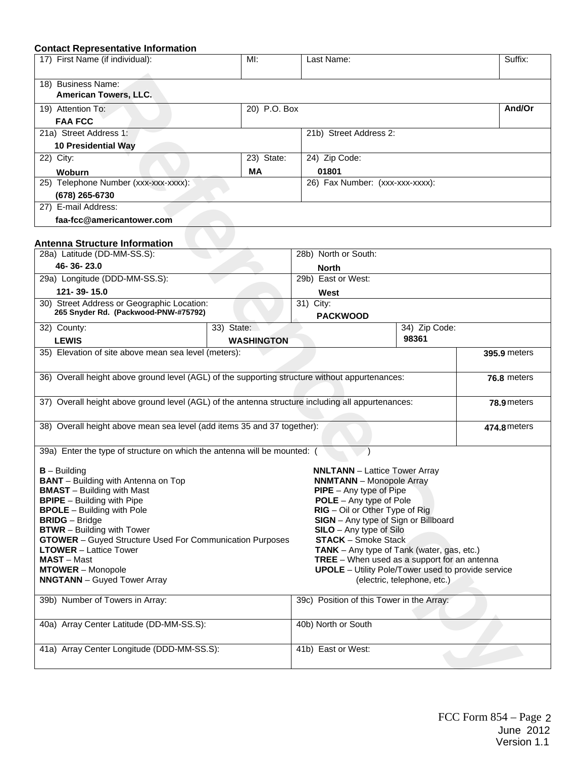## **Contact Representative Information**

| 17) First Name (if individual):<br>MI: |              | Last Name:                      | Suffix: |  |
|----------------------------------------|--------------|---------------------------------|---------|--|
|                                        |              |                                 |         |  |
| 18) Business Name:                     |              |                                 |         |  |
| <b>American Towers, LLC.</b>           |              |                                 |         |  |
| 19) Attention To:                      | 20) P.O. Box |                                 | And/Or  |  |
| <b>FAA FCC</b>                         |              |                                 |         |  |
| 21a) Street Address 1:                 |              | 21b) Street Address 2:          |         |  |
| <b>10 Presidential Way</b>             |              |                                 |         |  |
| 22) City:                              | 23) State:   | 24) Zip Code:                   |         |  |
| <b>Woburn</b>                          | МA           | 01801                           |         |  |
| 25) Telephone Number (xxx-xxx-xxxx):   |              | 26) Fax Number: (xxx-xxx-xxxx): |         |  |
| (678) 265-6730                         |              |                                 |         |  |
| 27) E-mail Address:                    |              |                                 |         |  |
| faa-fcc@americantower.com              |              |                                 |         |  |

# **Antenna Structure Information**

| 18) Business Name:<br>American Towers, LLC.                                                                                                                                                                                                                                                                                                                                                                                    |                     |                                                                                                                                                                                                                                                                                                                                                                                                                                                      |                             |                     |
|--------------------------------------------------------------------------------------------------------------------------------------------------------------------------------------------------------------------------------------------------------------------------------------------------------------------------------------------------------------------------------------------------------------------------------|---------------------|------------------------------------------------------------------------------------------------------------------------------------------------------------------------------------------------------------------------------------------------------------------------------------------------------------------------------------------------------------------------------------------------------------------------------------------------------|-----------------------------|---------------------|
| 19) Attention To:                                                                                                                                                                                                                                                                                                                                                                                                              | 20) P.O. Box        |                                                                                                                                                                                                                                                                                                                                                                                                                                                      |                             | And/Or              |
| <b>FAA FCC</b>                                                                                                                                                                                                                                                                                                                                                                                                                 |                     |                                                                                                                                                                                                                                                                                                                                                                                                                                                      |                             |                     |
| 21a) Street Address 1:                                                                                                                                                                                                                                                                                                                                                                                                         |                     | 21b) Street Address 2:                                                                                                                                                                                                                                                                                                                                                                                                                               |                             |                     |
| 10 Presidential Way                                                                                                                                                                                                                                                                                                                                                                                                            |                     |                                                                                                                                                                                                                                                                                                                                                                                                                                                      |                             |                     |
| 22) City:                                                                                                                                                                                                                                                                                                                                                                                                                      | 23) State:          | 24) Zip Code:                                                                                                                                                                                                                                                                                                                                                                                                                                        |                             |                     |
| Woburn                                                                                                                                                                                                                                                                                                                                                                                                                         | <b>MA</b>           | 01801                                                                                                                                                                                                                                                                                                                                                                                                                                                |                             |                     |
| 25) Telephone Number (xxx-xxx-xxxx):                                                                                                                                                                                                                                                                                                                                                                                           |                     | 26) Fax Number: (xxx-xxx-xxxx):                                                                                                                                                                                                                                                                                                                                                                                                                      |                             |                     |
| (678) 265-6730                                                                                                                                                                                                                                                                                                                                                                                                                 |                     |                                                                                                                                                                                                                                                                                                                                                                                                                                                      |                             |                     |
| 27) E-mail Address:                                                                                                                                                                                                                                                                                                                                                                                                            |                     |                                                                                                                                                                                                                                                                                                                                                                                                                                                      |                             |                     |
| faa-fcc@americantower.com                                                                                                                                                                                                                                                                                                                                                                                                      |                     |                                                                                                                                                                                                                                                                                                                                                                                                                                                      |                             |                     |
| <b>Antenna Structure Information</b>                                                                                                                                                                                                                                                                                                                                                                                           |                     |                                                                                                                                                                                                                                                                                                                                                                                                                                                      |                             |                     |
| 28a) Latitude (DD-MM-SS.S):                                                                                                                                                                                                                                                                                                                                                                                                    |                     | 28b) North or South:                                                                                                                                                                                                                                                                                                                                                                                                                                 |                             |                     |
| 46-36-23.0                                                                                                                                                                                                                                                                                                                                                                                                                     |                     | <b>North</b>                                                                                                                                                                                                                                                                                                                                                                                                                                         |                             |                     |
| 29a) Longitude (DDD-MM-SS.S):                                                                                                                                                                                                                                                                                                                                                                                                  |                     | 29b) East or West:                                                                                                                                                                                                                                                                                                                                                                                                                                   |                             |                     |
| 121-39-15.0                                                                                                                                                                                                                                                                                                                                                                                                                    |                     | West                                                                                                                                                                                                                                                                                                                                                                                                                                                 |                             |                     |
| 30) Street Address or Geographic Location:<br>265 Snyder Rd. (Packwood-PNW-#75792)                                                                                                                                                                                                                                                                                                                                             |                     | 31) City:<br><b>PACKWOOD</b>                                                                                                                                                                                                                                                                                                                                                                                                                         |                             |                     |
| 32) County:                                                                                                                                                                                                                                                                                                                                                                                                                    | 33) State:          |                                                                                                                                                                                                                                                                                                                                                                                                                                                      | 34) Zip Code:               |                     |
| <b>LEWIS</b>                                                                                                                                                                                                                                                                                                                                                                                                                   | <b>WASHINGTON</b>   |                                                                                                                                                                                                                                                                                                                                                                                                                                                      | 98361                       |                     |
| 35) Elevation of site above mean sea level (meters):                                                                                                                                                                                                                                                                                                                                                                           |                     |                                                                                                                                                                                                                                                                                                                                                                                                                                                      |                             | <b>395.9 meters</b> |
| 36) Overall height above ground level (AGL) of the supporting structure without appurtenances:                                                                                                                                                                                                                                                                                                                                 |                     |                                                                                                                                                                                                                                                                                                                                                                                                                                                      |                             | 76.8 meters         |
| 37) Overall height above ground level (AGL) of the antenna structure including all appurtenances:                                                                                                                                                                                                                                                                                                                              |                     |                                                                                                                                                                                                                                                                                                                                                                                                                                                      |                             | 78.9 meters         |
| 38) Overall height above mean sea level (add items 35 and 37 together):                                                                                                                                                                                                                                                                                                                                                        |                     |                                                                                                                                                                                                                                                                                                                                                                                                                                                      |                             | 474.8 meters        |
| 39a) Enter the type of structure on which the antenna will be mounted: (                                                                                                                                                                                                                                                                                                                                                       |                     |                                                                                                                                                                                                                                                                                                                                                                                                                                                      |                             |                     |
| $B -$ Building<br><b>BANT</b> - Building with Antenna on Top<br><b>BMAST</b> - Building with Mast<br><b>BPIPE</b> - Building with Pipe<br><b>BPOLE</b> - Building with Pole<br><b>BRIDG</b> – Bridge<br><b>BTWR</b> - Building with Tower<br>GTOWER - Guyed Structure Used For Communication Purposes<br><b>LTOWER</b> - Lattice Tower<br><b>MAST</b> – Mast<br><b>MTOWER</b> – Monopole<br><b>NNGTANN</b> - Guyed Tower Array |                     | <b>NNLTANN</b> - Lattice Tower Array<br><b>NNMTANN</b> - Monopole Array<br>$PIPE - Any type of Pipe$<br><b>POLE</b> – Any type of Pole<br>$RIG - Oil$ or Other Type of Rig<br>SIGN - Any type of Sign or Billboard<br><b>SILO</b> - Any type of Silo<br><b>STACK</b> – Smoke Stack<br>TANK - Any type of Tank (water, gas, etc.)<br><b>TREE</b> - When used as a support for an antenna<br><b>UPOLE</b> - Utility Pole/Tower used to provide service | (electric, telephone, etc.) |                     |
| 39b) Number of Towers in Array:                                                                                                                                                                                                                                                                                                                                                                                                |                     | 39c) Position of this Tower in the Array:                                                                                                                                                                                                                                                                                                                                                                                                            |                             |                     |
| 40a) Array Center Latitude (DD-MM-SS.S):                                                                                                                                                                                                                                                                                                                                                                                       | 40b) North or South |                                                                                                                                                                                                                                                                                                                                                                                                                                                      |                             |                     |
| 41a) Array Center Longitude (DDD-MM-SS.S):                                                                                                                                                                                                                                                                                                                                                                                     |                     | 41b) East or West:                                                                                                                                                                                                                                                                                                                                                                                                                                   |                             |                     |
|                                                                                                                                                                                                                                                                                                                                                                                                                                |                     |                                                                                                                                                                                                                                                                                                                                                                                                                                                      |                             |                     |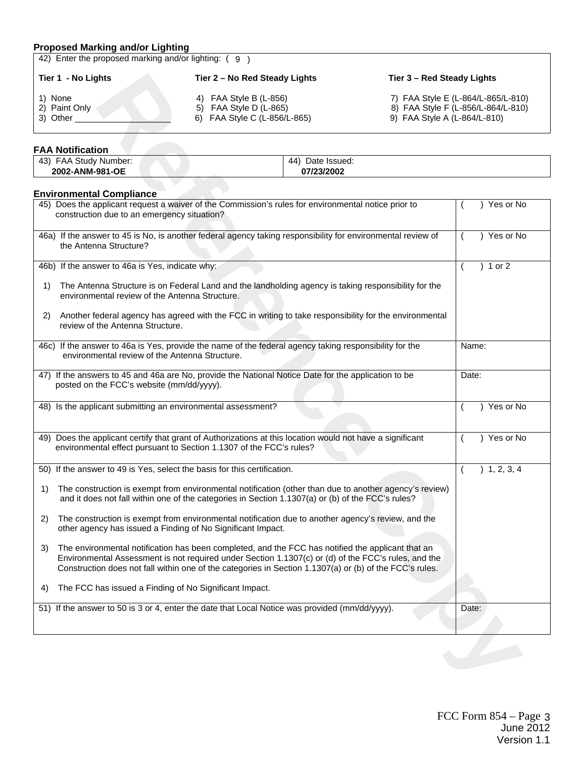## **Proposed Marking and/or Lighting**

| 42) Enter the proposed marking and/or lighting: (9) |                                                                                    |                                                                                                          |  |  |  |  |  |  |
|-----------------------------------------------------|------------------------------------------------------------------------------------|----------------------------------------------------------------------------------------------------------|--|--|--|--|--|--|
| Tier 1 - No Lights                                  | Tier 2 – No Red Steady Lights                                                      | Tier 3 – Red Steady Lights                                                                               |  |  |  |  |  |  |
| 1) None<br>2) Paint Only<br>3) Other                | 4) FAA Style B $(L-856)$<br>5) FAA Style D (L-865)<br>6) FAA Style C (L-856/L-865) | 7) FAA Style E (L-864/L-865/L-810)<br>8) FAA Style F (L-856/L-864/L-810)<br>9) FAA Style A (L-864/L-810) |  |  |  |  |  |  |

## **FAA Notification**

| .                                 |                       |
|-----------------------------------|-----------------------|
| (43)<br>=AA<br>Study<br>' Number: | 44<br>Date<br>Issued: |
| 2002-ANM-981-OE                   | 07/23/2002            |
|                                   |                       |

## **Environmental Compliance**

| Tier 1 - No Lights                                           |                                                                                                                                                                                                                                                                                                                     | Tier 2 - No Red Steady Lights<br>Tier 3 - Red Steady Lights |  |                              |
|--------------------------------------------------------------|---------------------------------------------------------------------------------------------------------------------------------------------------------------------------------------------------------------------------------------------------------------------------------------------------------------------|-------------------------------------------------------------|--|------------------------------|
| 1) None<br>2) Paint Only<br>3) Other                         | 4) FAA Style B (L-856)<br>7) FAA Style E (L-864/L-865/L-810)<br>5) FAA Style D (L-865)<br>8) FAA Style F (L-856/L-864/L-810)<br>6) FAA Style C (L-856/L-865)<br>9) FAA Style A (L-864/L-810)                                                                                                                        |                                                             |  |                              |
| <b>FAA Notification</b>                                      |                                                                                                                                                                                                                                                                                                                     |                                                             |  |                              |
| 43) FAA Study Number:<br>2002-ANM-981-OE                     |                                                                                                                                                                                                                                                                                                                     | 44) Date Issued:<br>07/23/2002                              |  |                              |
| <b>Environmental Compliance</b>                              |                                                                                                                                                                                                                                                                                                                     |                                                             |  |                              |
| construction due to an emergency situation?                  | 45) Does the applicant request a waiver of the Commission's rules for environmental notice prior to                                                                                                                                                                                                                 |                                                             |  | ) Yes or No                  |
| the Antenna Structure?                                       | 46a) If the answer to 45 is No, is another federal agency taking responsibility for environmental review of                                                                                                                                                                                                         |                                                             |  | ) Yes or No<br>$\left($      |
| 46b) If the answer to 46a is Yes, indicate why:              |                                                                                                                                                                                                                                                                                                                     |                                                             |  | ) 1 or 2                     |
| 1)<br>environmental review of the Antenna Structure.         | The Antenna Structure is on Federal Land and the landholding agency is taking responsibility for the                                                                                                                                                                                                                |                                                             |  |                              |
| 2)<br>review of the Antenna Structure.                       | Another federal agency has agreed with the FCC in writing to take responsibility for the environmental                                                                                                                                                                                                              |                                                             |  |                              |
| environmental review of the Antenna Structure.               | 46c) If the answer to 46a is Yes, provide the name of the federal agency taking responsibility for the                                                                                                                                                                                                              |                                                             |  | Name:                        |
| posted on the FCC's website (mm/dd/yyyy).                    | 47) If the answers to 45 and 46a are No, provide the National Notice Date for the application to be                                                                                                                                                                                                                 |                                                             |  | Date:                        |
| 48) Is the applicant submitting an environmental assessment? |                                                                                                                                                                                                                                                                                                                     |                                                             |  | Yes or No                    |
|                                                              | 49) Does the applicant certify that grant of Authorizations at this location would not have a significant<br>environmental effect pursuant to Section 1.1307 of the FCC's rules?                                                                                                                                    |                                                             |  | ) Yes or No                  |
|                                                              | 50) If the answer to 49 is Yes, select the basis for this certification.                                                                                                                                                                                                                                            |                                                             |  | 1, 2, 3, 4<br>$\overline{ }$ |
| 1)                                                           | The construction is exempt from environmental notification (other than due to another agency's review)<br>and it does not fall within one of the categories in Section 1.1307(a) or (b) of the FCC's rules?                                                                                                         |                                                             |  |                              |
| 2)                                                           | The construction is exempt from environmental notification due to another agency's review, and the<br>other agency has issued a Finding of No Significant Impact.                                                                                                                                                   |                                                             |  |                              |
| 3)                                                           | The environmental notification has been completed, and the FCC has notified the applicant that an<br>Environmental Assessment is not required under Section 1.1307(c) or (d) of the FCC's rules, and the<br>Construction does not fall within one of the categories in Section 1.1307(a) or (b) of the FCC's rules. |                                                             |  |                              |
| 4)                                                           | The FCC has issued a Finding of No Significant Impact.                                                                                                                                                                                                                                                              |                                                             |  |                              |
|                                                              | 51) If the answer to 50 is 3 or 4, enter the date that Local Notice was provided (mm/dd/yyyy).                                                                                                                                                                                                                      |                                                             |  | Date:                        |
|                                                              |                                                                                                                                                                                                                                                                                                                     |                                                             |  |                              |